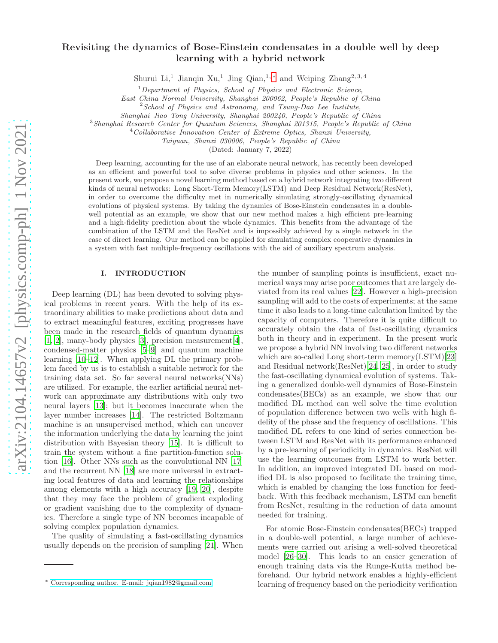# Revisiting the dynamics of Bose-Einstein condensates in a double well by deep learning with a hybrid network

Shurui Li,<sup>1</sup> Jianqin Xu,<sup>1</sup> Jing Qian,<sup>1,\*</sup> and Weiping Zhang<sup>2,3,4</sup>

 $1$ Department of Physics, School of Physics and Electronic Science,

East China Normal University, Shanghai 200062, People's Republic of China

 $2$ School of Physics and Astronomy, and Tsung-Dao Lee Institute,

Shanghai Jiao Tong University, Shanghai 200240, People's Republic of China

<sup>3</sup>Shanghai Research Center for Quantum Sciences, Shanghai 201315, People's Republic of China

<sup>4</sup>Collaborative Innovation Center of Extreme Optics, Shanxi University,

Taiyuan, Shanxi 030006, People's Republic of China

(Dated: January 7, 2022)

Deep learning, accounting for the use of an elaborate neural network, has recently been developed as an efficient and powerful tool to solve diverse problems in physics and other sciences. In the present work, we propose a novel learning method based on a hybrid network integrating two different kinds of neural networks: Long Short-Term Memory(LSTM) and Deep Residual Network(ResNet). in order to overcome the difficulty met in numerically simulating strongly-oscillating dynamical evolutions of physical systems. By taking the dynamics of Bose-Einstein condensates in a doublewell potential as an example, we show that our new method makes a high efficient pre-learning and a high-fidelity prediction about the whole dynamics. This benefits from the advantage of the combination of the LSTM and the ResNet and is impossibly achieved by a single network in the case of direct learning. Our method can be applied for simulating complex cooperative dynamics in a system with fast multiple-frequency oscillations with the aid of auxiliary spectrum analysis.

# I. INTRODUCTION

Deep learning (DL) has been devoted to solving physical problems in recent years. With the help of its extraordinary abilities to make predictions about data and to extract meaningful features, exciting progresses have been made in the research fields of quantum dynamics [\[1,](#page-9-0) [2](#page-9-1)], many-body physics [\[3](#page-9-2)], precision measurement[\[4\]](#page-9-3), condensed-matter physics [\[5](#page-9-4)[–9](#page-9-5)] and quantum machine learning [\[10](#page-9-6)[–12](#page-9-7)]. When applying DL the primary problem faced by us is to establish a suitable network for the training data set. So far several neural networks(NNs) are utilized. For example, the earlier artificial neural network can approximate any distributions with only two neural layers [\[13](#page-9-8)]; but it becomes inaccurate when the layer number increases [\[14\]](#page-9-9). The restricted Boltzmann machine is an unsupervised method, which can uncover the information underlying the data by learning the joint distribution with Bayesian theory [\[15](#page-9-10)]. It is difficult to train the system without a fine partition-function solution [\[16\]](#page-9-11). Other NNs such as the convolutional NN [\[17](#page-9-12)] and the recurrent NN [\[18](#page-9-13)] are more universal in extracting local features of data and learning the relationships among elements with a high accuracy [\[19](#page-9-14), [20](#page-9-15)], despite that they may face the problem of gradient exploding or gradient vanishing due to the complexity of dynamics. Therefore a single type of NN becomes incapable of solving complex population dynamics.

The quality of simulating a fast-oscillating dynamics usually depends on the precision of sampling [\[21\]](#page-9-16). When

the number of sampling points is insufficient, exact numerical ways may arise poor outcomes that are largely deviated from its real values [\[22](#page-9-17)]. However a high-precision sampling will add to the costs of experiments; at the same time it also leads to a long-time calculation limited by the capacity of computers. Therefore it is quite difficult to accurately obtain the data of fast-oscillating dynamics both in theory and in experiment. In the present work we propose a hybrid NN involving two different networks which are so-called Long short-term memory(LSTM)[\[23](#page-9-18)] and Residual network(ResNet)[\[24,](#page-9-19) [25\]](#page-9-20), in order to study the fast-oscillating dynamical evolution of systems. Taking a generalized double-well dynamics of Bose-Einstein condensates(BECs) as an example, we show that our modified DL method can well solve the time evolution of population difference between two wells with high fidelity of the phase and the frequency of oscillations. This modified DL refers to one kind of series connection between LSTM and ResNet with its performance enhanced by a pre-learning of periodicity in dynamics. ResNet will use the learning outcomes from LSTM to work better. In addition, an improved integrated DL based on modified DL is also proposed to facilitate the training time, which is enabled by changing the loss function for feedback. With this feedback mechanism, LSTM can benefit from ResNet, resulting in the reduction of data amount needed for training.

For atomic Bose-Einstein condensates(BECs) trapped in a double-well potential, a large number of achievements were carried out arising a well-solved theoretical model [\[26](#page-9-21)[–30](#page-9-22)]. This leads to an easier generation of enough training data via the Runge-Kutta method beforehand. Our hybrid network enables a highly-efficient learning of frequency based on the periodicity verification

<span id="page-0-0"></span><sup>∗</sup> [Corresponding author. E-mail: jqian1982@gmail.com](mailto:Corresponding author. E-mail: jqian1982@gmail.com)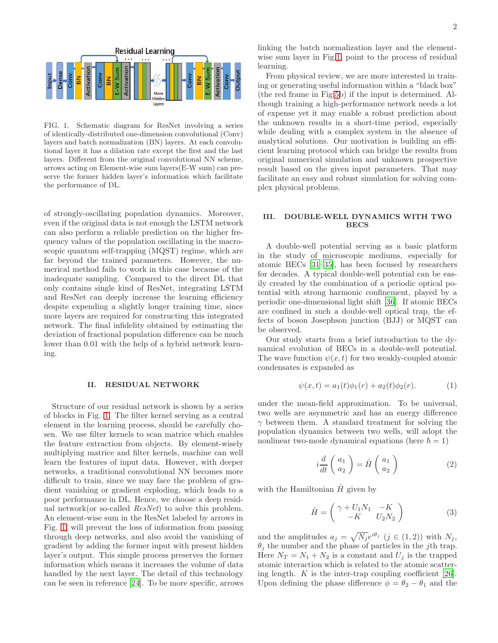

<span id="page-1-0"></span>FIG. 1. Schematic diagram for ResNet involving a series of identically-distributed one-dimension convolutional (Conv) layers and batch normalization (BN) layers. At each convolutional layer it has a dilation rate except the first and the last layers. Different from the original convolutional NN scheme, arrows acting on Element-wise sum layers(E-W sum) can preserve the former hidden layer's information which facilitate the performance of DL.

of strongly-oscillating population dynamics. Moreover, even if the original data is not enough the LSTM network can also perform a reliable prediction on the higher frequency values of the population oscillating in the macroscopic quantum self-trapping (MQST) regime, which are far beyond the trained parameters. However, the numerical method fails to work in this case because of the inadequate sampling. Compared to the direct DL that only contains single kind of ResNet, integrating LSTM and ResNet can deeply increase the learning efficiency despite expending a slightly longer training time, since more layers are required for constructing this integrated network. The final infidelity obtained by estimating the deviation of fractional population difference can be much lower than 0.01 with the help of a hybrid network learning.

### II. RESIDUAL NETWORK

Structure of our residual network is shown by a series of blocks in Fig. [1.](#page-1-0) The filter kernel serving as a central element in the learning process, should be carefully chosen. We use filter kernels to scan matrice which enables the feature extraction from objects. By element-wisely multiplying matrice and filter kernels, machine can well learn the features of input data. However, with deeper networks, a traditional convolutional NN becomes more difficult to train, since we may face the problem of gradient vanishing or gradient exploding, which leads to a poor performance in DL. Hence, we choose a deep residual network(or so-called ResNet) to solve this problem. An element-wise sum in the ResNet labeled by arrows in Fig. [1,](#page-1-0) will prevent the loss of information from passing through deep networks, and also avoid the vanishing of gradient by adding the former input with present hidden layer's output. This simple process preserves the former information which means it increases the volume of data handled by the next layer. The detail of this technology can be seen in reference [\[24\]](#page-9-19). To be more specific, arrows linking the batch normalization layer and the elementwise sum layer in Fig[.1,](#page-1-0) point to the process of residual learning.

From physical review, we are more interested in training or generating useful information within a "black box" (the red frame in Fig[.5b](#page-5-0)) if the input is determined. Although training a high-performance network needs a lot of expense yet it may enable a robust prediction about the unknown results in a short-time period, especially while dealing with a complex system in the absence of analytical solutions. Our motivation is building an efficient learning protocol which can bridge the results from original numerical simulation and unknown prospective result based on the given input parameters. That may facilitate an easy and robust simulation for solving complex physical problems.

# III. DOUBLE-WELL DYNAMICS WITH TWO **BECS**

A double-well potential serving as a basic platform in the study of microscopic mediums, especially for atomic BECs [\[31](#page-9-23)[–35](#page-9-24)], has been focused by researchers for decades. A typical double-well potential can be easily created by the combination of a periodic optical potential with strong harmonic confinement, played by a periodic one-dimensional light shift [\[36](#page-9-25)]. If atomic BECs are confined in such a double-well optical trap, the effects of boson Josephson junction (BJJ) or MQST can be observed.

Our study starts from a brief introduction to the dynamical evolution of BECs in a double-well potential. The wave function  $\psi(x, t)$  for two weakly-coupled atomic condensates is expanded as

$$
\psi(x,t) = a_1(t)\phi_1(r) + a_2(t)\phi_2(r). \tag{1}
$$

under the mean-field approximation. To be universal, two wells are asymmetric and has an energy difference  $\gamma$  between them. A standard treatment for solving the population dynamics between two wells, will adopt the nonlinear two-mode dynamical equations (here  $\hbar = 1$ )

<span id="page-1-1"></span>
$$
i\frac{d}{dt}\begin{pmatrix}a_1\\a_2\end{pmatrix} = \hat{H}\begin{pmatrix}a_1\\a_2\end{pmatrix}
$$
 (2)

with the Hamiltonian  $\hat{H}$  given by

$$
\hat{H} = \begin{pmatrix} \gamma + U_1 N_1 & -K \\ -K & U_2 N_2 \end{pmatrix} \tag{3}
$$

and the amplitudes  $a_j = \sqrt{N_j} e^{i\theta_j}$   $(j \in (1, 2))$  with  $N_j$ ,  $\theta_j$  the number and the phase of particles in the *j*th trap. Here  $N_T = N_1 + N_2$  is a constant and  $U_j$  is the trapped atomic interaction which is related to the atomic scattering length.  $K$  is the inter-trap coupling coefficient [\[26\]](#page-9-21). Upon defining the phase difference  $\phi = \theta_2 - \theta_1$  and the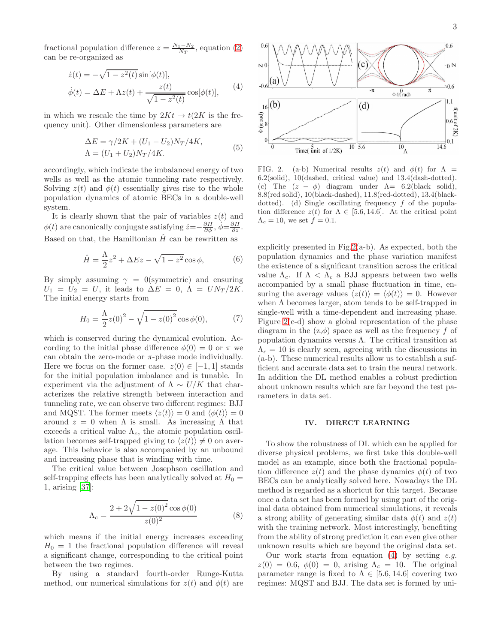fractional population difference  $z = \frac{N_1 - N_2}{N_T}$  $\frac{1-N_2}{N_T}$ , equation [\(2\)](#page-1-1) can be re-organized as

<span id="page-2-1"></span>
$$
\dot{z}(t) = -\sqrt{1 - z^2(t)} \sin[\phi(t)],
$$
  

$$
\dot{\phi}(t) = \Delta E + \Lambda z(t) + \frac{z(t)}{\sqrt{1 - z^2(t)}} \cos[\phi(t)],
$$
 (4)

in which we rescale the time by  $2Kt \rightarrow t(2K)$  is the frequency unit). Other dimensionless parameters are

$$
\Delta E = \gamma/2K + (U_1 - U_2)N_T/4K, \n\Lambda = (U_1 + U_2)N_T/4K.
$$
\n(5)

accordingly, which indicate the imbalanced energy of two wells as well as the atomic tunneling rate respectively. Solving  $z(t)$  and  $\phi(t)$  essentially gives rise to the whole population dynamics of atomic BECs in a double-well system.

It is clearly shown that the pair of variables  $z(t)$  and  $\phi(t)$  are canonically conjugate satisfying  $\dot{z} = -\frac{\partial H}{\partial \phi}, \dot{\phi} = \frac{\partial H}{\partial z}$ . Based on that, the Hamiltonian  $\hat{H}$  can be rewritten as

$$
\hat{H} = \frac{\Lambda}{2}z^2 + \Delta Ez - \sqrt{1 - z^2} \cos \phi, \tag{6}
$$

By simply assuming  $\gamma = 0$ (symmetric) and ensuring  $U_1 = U_2 = U$ , it leads to  $\Delta E = 0$ ,  $\Lambda = UN_T/2K$ . The initial energy starts from

$$
H_0 = \frac{\Lambda}{2}z(0)^2 - \sqrt{1 - z(0)^2} \cos \phi(0),
$$
 (7)

which is conserved during the dynamical evolution. According to the initial phase difference  $\phi(0) = 0$  or  $\pi$  we can obtain the zero-mode or  $\pi$ -phase mode individually. Here we focus on the former case.  $z(0) \in [-1, 1]$  stands for the initial population imbalance and is tunable. In experiment via the adjustment of  $\Lambda \sim U/K$  that characterizes the relative strength between interaction and tunneling rate, we can observe two different regimes: BJJ and MQST. The former meets  $\langle z(t) \rangle = 0$  and  $\langle \phi(t) \rangle = 0$ around  $z = 0$  when  $\Lambda$  is small. As increasing  $\Lambda$  that exceeds a critical value  $\Lambda_c$ , the atomic population oscillation becomes self-trapped giving to  $\langle z(t)\rangle \neq 0$  on average. This behavior is also accompanied by an unbound and increasing phase that is winding with time.

The critical value between Josephson oscillation and self-trapping effects has been analytically solved at  $H_0 =$ 1, arising [\[37](#page-9-26)]:

$$
\Lambda_c = \frac{2 + 2\sqrt{1 - z(0)^2} \cos \phi(0)}{z(0)^2} \tag{8}
$$

which means if the initial energy increases exceeding  $H_0 = 1$  the fractional population difference will reveal a significant change, corresponding to the critical point between the two regimes.

By using a standard fourth-order Runge-Kutta method, our numerical simulations for  $z(t)$  and  $\phi(t)$  are



<span id="page-2-0"></span>FIG. 2. (a-b) Numerical results  $z(t)$  and  $\phi(t)$  for  $\Lambda =$ 6.2(solid), 10(dashed, critical value) and 13.4(dash-dotted). (c) The  $(z - \phi)$  diagram under  $\Lambda = 6.2$ (black solid), 8.8(red solid), 10(black-dashed), 11.8(red-dotted), 13.4(blackdotted). (d) Single oscillating frequency  $f$  of the population difference  $z(t)$  for  $\Lambda \in [5.6, 14.6]$ . At the critical point  $\Lambda_c = 10$ , we set  $f = 0.1$ .

explicitly presented in Fig[.2\(](#page-2-0)a-b). As expected, both the population dynamics and the phase variation manifest the existence of a significant transition across the critical value  $\Lambda_c$ . If  $\Lambda < \Lambda_c$  a BJJ appears between two wells accompanied by a small phase fluctuation in time, ensuring the average values  $\langle z(t)\rangle = \langle \phi(t)\rangle = 0$ . However when Λ becomes larger, atom tends to be self-trapped in single-well with a time-dependent and increasing phase. Figure [2\(](#page-2-0)c-d) show a global representation of the phase diagram in the  $(z,\phi)$  space as well as the frequency f of population dynamics versus Λ. The critical transition at  $\Lambda_c = 10$  is clearly seen, agreeing with the discussions in (a-b). These numerical results allow us to establish a sufficient and accurate data set to train the neural network. In addition the DL method enables a robust prediction about unknown results which are far beyond the test parameters in data set.

# IV. DIRECT LEARNING

To show the robustness of DL which can be applied for diverse physical problems, we first take this double-well model as an example, since both the fractional population difference  $z(t)$  and the phase dynamics  $\phi(t)$  of two BECs can be analytically solved here. Nowadays the DL method is regarded as a shortcut for this target. Because once a data set has been formed by using part of the original data obtained from numerical simulations, it reveals a strong ability of generating similar data  $\phi(t)$  and  $z(t)$ with the training network. Most interestingly, benefiting from the ability of strong prediction it can even give other unknown results which are beyond the original data set.

Our work starts from equation  $(4)$  by setting e.g.  $z(0) = 0.6, \phi(0) = 0$ , arising  $\Lambda_c = 10$ . The original parameter range is fixed to  $\Lambda \in [5.6, 14.6]$  covering two regimes: MQST and BJJ. The data set is formed by uni-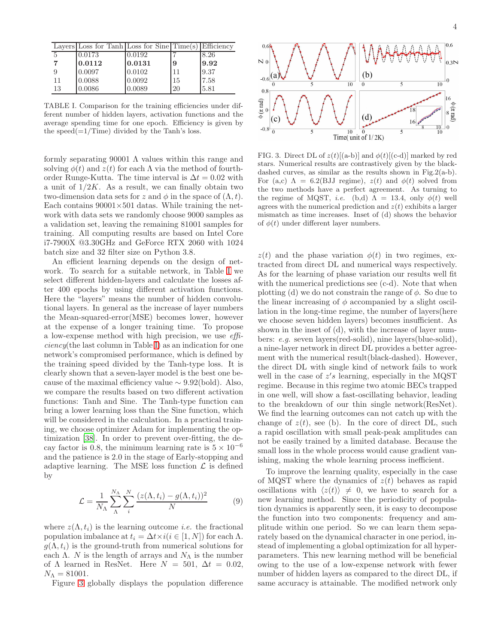|    | Layers Loss for Tanh Loss for $Sine Time(s) Efficiency$ |        |    |      |
|----|---------------------------------------------------------|--------|----|------|
| -5 | 0.0173                                                  | 0.0192 |    | 8.26 |
|    | 0.0112                                                  | 0.0131 | 9  | 9.92 |
|    | 0.0097                                                  | 0.0102 | 11 | 9.37 |
| 11 | 0.0088                                                  | 0.0092 | 15 | 7.58 |
| 13 | 0.0086                                                  | 0.0089 | 20 | 5.81 |

<span id="page-3-0"></span>TABLE I. Comparison for the training efficiencies under different number of hidden layers, activation functions and the average spending time for one epoch. Efficiency is given by the speed $(=1/Time)$  divided by the Tanh's loss.

formly separating 90001  $\Lambda$  values within this range and solving  $\phi(t)$  and  $z(t)$  for each  $\Lambda$  via the method of fourthorder Runge-Kutta. The time interval is  $\Delta t = 0.02$  with a unit of  $1/2K$ . As a result, we can finally obtain two two-dimension data sets for z and  $\phi$  in the space of  $(\Lambda, t)$ . Each contains  $90001 \times 501$  datas. While training the network with data sets we randomly choose 9000 samples as a validation set, leaving the remaining 81001 samples for training. All computing results are based on Intel Core i7-7900X @3.30GHz and GeForce RTX 2060 with 1024 batch size and 32 filter size on Python 3.8.

An efficient learning depends on the design of network. To search for a suitable network, in Table [I](#page-3-0) we select different hidden-layers and calculate the losses after 400 epochs by using different activation functions. Here the "layers" means the number of hidden convolutional layers. In general as the increase of layer numbers the Mean-squared-error(MSE) becomes lower, however at the expense of a longer training time. To propose a low-expense method with high precision, we use efficiency(the last column in Table [I\)](#page-3-0) as an indication for one network's compromised performance, which is defined by the training speed divided by the Tanh-type loss. It is clearly shown that a seven-layer model is the best one because of the maximal efficiency value  $\sim$  9.92(bold). Also, we compare the results based on two different activation functions: Tanh and Sine. The Tanh-type function can bring a lower learning loss than the Sine function, which will be considered in the calculation. In a practical training, we choose optimizer Adam for implementing the optimization [\[38\]](#page-9-27). In order to prevent over-fitting, the decay factor is 0.8, the minimum learning rate is  $5 \times 10^{-6}$ and the patience is 2.0 in the stage of Early-stopping and adaptive learning. The MSE loss function  $\mathcal L$  is defined by

<span id="page-3-2"></span>
$$
\mathcal{L} = \frac{1}{N_{\Lambda}} \sum_{\Lambda}^{N_{\Lambda}} \sum_{i}^{N} \frac{(z(\Lambda, t_i) - g(\Lambda, t_i))^2}{N}
$$
(9)

where  $z(\Lambda, t_i)$  is the learning outcome *i.e.* the fractional population imbalance at  $t_i = \Delta t \times i (i \in [1, N])$  for each  $\Lambda$ .  $g(\Lambda, t_i)$  is the ground-truth from numerical solutions for each  $\Lambda$ . N is the length of arrays and  $N_{\Lambda}$  is the number of  $\Lambda$  learned in ResNet. Here  $N = 501, \Delta t = 0.02$ ,  $N_{\Lambda} = 81001.$ 

Figure [3](#page-3-1) globally displays the population difference



<span id="page-3-1"></span>FIG. 3. Direct DL of  $z(t)$ [(a-b)] and  $\phi(t)$ [(c-d)] marked by red stars. Numerical results are contrastively given by the blackdashed curves, as similar as the results shown in Fig.2(a-b). For (a,c)  $\Lambda = 6.2(BJJ$  regime),  $z(t)$  and  $\phi(t)$  solved from the two methods have a perfect agreement. As turning to the regime of MQST, *i.e.* (b,d)  $\Lambda = 13.4$ , only  $\phi(t)$  well agrees with the numerical prediction and  $z(t)$  exhibits a larger mismatch as time increases. Inset of (d) shows the behavior of  $\phi(t)$  under different layer numbers.

 $z(t)$  and the phase variation  $\phi(t)$  in two regimes, extracted from direct DL and numerical ways respectively. As for the learning of phase variation our results well fit with the numerical predictions see (c-d). Note that when plotting (d) we do not constrain the range of  $\phi$ . So due to the linear increasing of  $\phi$  accompanied by a slight oscillation in the long-time regime, the number of layers(here we choose seven hidden layers) becomes insufficient. As shown in the inset of (d), with the increase of layer numbers: e.g. seven layers(red-solid), nine layers(blue-solid), a nine-layer network in direct DL provides a better agreement with the numerical result(black-dashed). However, the direct DL with single kind of network fails to work well in the case of  $z's$  learning, especially in the MQST regime. Because in this regime two atomic BECs trapped in one well, will show a fast-oscillating behavior, leading to the breakdown of our thin single network(ResNet). We find the learning outcomes can not catch up with the change of  $z(t)$ , see (b). In the core of direct DL, such a rapid oscillation with small peak-peak amplitudes can not be easily trained by a limited database. Because the small loss in the whole process would cause gradient vanishing, making the whole learning process inefficient.

To improve the learning quality, especially in the case of MQST where the dynamics of  $z(t)$  behaves as rapid oscillations with  $\langle z(t)\rangle \neq 0$ , we have to search for a new learning method. Since the periodicity of population dynamics is apparently seen, it is easy to decompose the function into two components: frequency and amplitude within one period. So we can learn them separately based on the dynamical character in one period, instead of implementing a global optimization for all hyperparameters. This new learning method will be beneficial owing to the use of a low-expense network with fewer number of hidden layers as compared to the direct DL, if same accuracy is attainable. The modified network only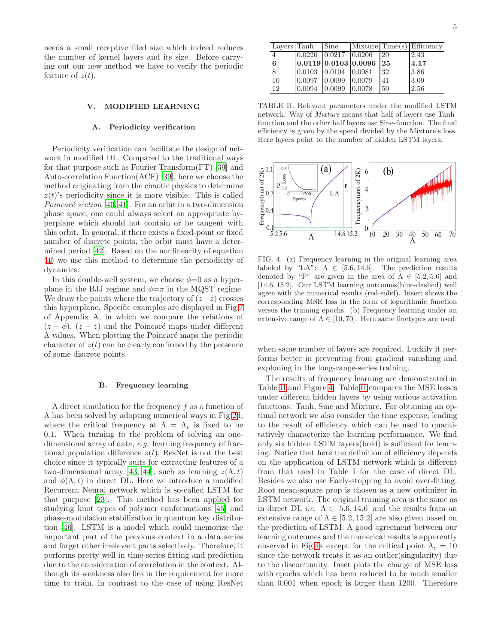needs a small receptive filed size which indeed reduces the number of kernel layers and its size. Before carrying out our new method we have to verify the periodic feature of  $z(t)$ .

# V. MODIFIED LEARNING

### A. Periodicity verification

Periodicity verification can facilitate the design of network in modified DL. Compared to the traditional ways for that purpose such as Fourier Transform(FT) [\[39](#page-9-28)] and Auto-correlation Function(ACF) [\[39\]](#page-9-28), here we choose the method originating from the chaotic physics to determine  $z(t)$ 's periodicity since it is more visible. This is called Poincaré section [\[40,](#page-10-0) [41\]](#page-10-1). For an orbit in a two-dimension phase space, one could always select an appropriate hyperplane which should not contain or be tangent with this orbit. In general, if there exists a fixed-point or fixed number of discrete points, the orbit must have a determined period [\[42\]](#page-10-2). Based on the nonlinearity of equation [\(4\)](#page-2-1) we use this method to determine the periodicity of dynamics.

In this double-well system, we choose  $\phi=0$  as a hyperplane in the BJJ regime and  $\phi = \pi$  in the MQST regime. We draw the points where the trajectory of  $(z-\dot{z})$  crosses this hyperplane. Specific examples are displayed in Fig[.7](#page-8-0) of Appendix A, in which we compare the relations of  $(z - \phi)$ ,  $(z - \dot{z})$  and the Poincaré maps under different  $\Lambda$  values. When plotting the Poincaré maps the periodic character of  $z(t)$  can be clearly confirmed by the presence of some discrete points.

#### B. Frequency learning

A direct simulation for the frequency  $f$  as a function of Λ has been solved by adopting numerical ways in Fig[.2d](#page-2-0), where the critical frequency at  $\Lambda = \Lambda_c$  is fixed to be 0.1. When turning to the problem of solving an onedimensional array of data, e.g. learning frequency of fractional population difference  $z(t)$ , ResNet is not the best choice since it typically suits for extracting features of a two-dimensional array [\[43](#page-10-3), [44\]](#page-10-4), such as learning  $z(\Lambda, t)$ and  $\phi(\Lambda, t)$  in direct DL. Here we introduce a modified Recurrent Neural network which is so-called LSTM for that purpose [\[23\]](#page-9-18). This method has been applied for studying knot types of polymer conformations [\[45](#page-10-5)] and phase-modulation stabilization in quantum key distribution [\[46\]](#page-10-6). LSTM is a model which could memorize the important part of the previous context in a data series and forget other irrelevant parts selectively. Therefore, it performs pretty well in time-series fitting and prediction due to the consideration of correlation in the context. Although its weakness also lies in the requirement for more time to train, in contrast to the case of using ResNet

<span id="page-4-0"></span>TABLE II. Relevant parameters under the modified LSTM network. Way of Mixture means that half of layers use Tanhfunction and the other half layers use Sine-function. The final efficiency is given by the speed divided by the Mixture's loss. Here layers point to the number of hidden LSTM layers.



<span id="page-4-1"></span>FIG. 4. (a) Frequency learning in the original learning area labeled by "LA":  $\Lambda \in [5.6, 14.6]$ . The prediction results denoted by "P" are given in the area of  $\Lambda \in [5.2, 5.6]$  and [14.6, 15.2]. Our LSTM learning outcomes(blue-dashed) well agree with the numerical results (red-solid). Insert shows the corresponding MSE loss in the form of logarithmic function versus the training epochs. (b) Frequency learning under an extensive range of  $\Lambda \in [10, 70]$ . Here same linetypes are used.

when same number of layers are required. Luckily it performs better in preventing from gradient vanishing and exploding in the long-range-series training.

The results of frequency learning are demonstrated in Table [II](#page-4-0) and Figure [4.](#page-4-1) Table [II](#page-4-0) compares the MSE losses under different hidden layers by using various activation functions: Tanh, Sine and Mixture. For obtaining an optimal network we also consider the time expense, leading to the result of efficiency which can be used to quantitatively characterize the learning performance. We find only six hidden LSTM layers(bold) is sufficient for learning. Notice that here the definition of efficiency depends on the application of LSTM network which is different from that used in Table I for the case of direct DL. Besides we also use Early-stopping to avoid over-fitting. Root mean-square prop is chosen as a new optimizer in LSTM network. The original training area is the same as in direct DL *i.e.*  $\Lambda \in [5.6, 14.6]$  and the results from an extensive range of  $\Lambda \in [5.2, 15.2]$  are also given based on the prediction of LSTM. A good agreement between our learning outcomes and the numerical results is apparently observed in Fig[.4a](#page-4-1) except for the critical point  $\Lambda_c = 10$ since the network treats it as an outlier(singularity) due to the discontinuity. Inset plots the change of MSE loss with epochs which has been reduced to be much smaller than 0.001 when epoch is larger than 1200. Therefore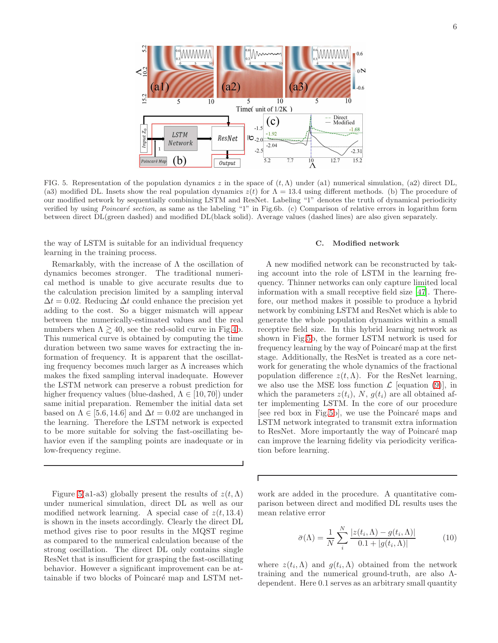

<span id="page-5-0"></span>FIG. 5. Representation of the population dynamics z in the space of  $(t, \Lambda)$  under (a1) numerical simulation, (a2) direct DL, (a3) modified DL. Insets show the real population dynamics  $z(t)$  for  $\Lambda = 13.4$  using different methods. (b) The procedure of our modified network by sequentially combining LSTM and ResNet. Labeling "1" denotes the truth of dynamical periodicity verified by using *Poincaré section*, as same as the labeling "1" in Fig.6b. (c) Comparison of relative errors in logarithm form between direct DL(green dashed) and modified DL(black solid). Average values (dashed lines) are also given separately.

Г

the way of LSTM is suitable for an individual frequency learning in the training process.

Remarkably, with the increase of  $\Lambda$  the oscillation of dynamics becomes stronger. The traditional numerical method is unable to give accurate results due to the calculation precision limited by a sampling interval  $\Delta t = 0.02$ . Reducing  $\Delta t$  could enhance the precision yet adding to the cost. So a bigger mismatch will appear between the numerically-estimated values and the real numbers when  $\Lambda \gtrsim 40$ , see the red-solid curve in Fig[.4b](#page-4-1). This numerical curve is obtained by computing the time duration between two same waves for extracting the information of frequency. It is apparent that the oscillating frequency becomes much larger as  $\Lambda$  increases which makes the fixed sampling interval inadequate. However the LSTM network can preserve a robust prediction for higher frequency values (blue-dashed,  $\Lambda \in [10, 70]$ ) under same initial preparation. Remember the initial data set based on  $\Lambda \in [5.6, 14.6]$  and  $\Delta t = 0.02$  are unchanged in the learning. Therefore the LSTM network is expected to be more suitable for solving the fast-oscillating behavior even if the sampling points are inadequate or in low-frequency regime.

Figure [5\(](#page-5-0)a1-a3) globally present the results of  $z(t,\Lambda)$ under numerical simulation, direct DL as well as our modified network learning. A special case of  $z(t, 13.4)$ is shown in the insets accordingly. Clearly the direct DL method gives rise to poor results in the MQST regime as compared to the numerical calculation because of the strong oscillation. The direct DL only contains single ResNet that is insufficient for grasping the fast-oscillating behavior. However a significant improvement can be attainable if two blocks of Poincaré map and LSTM net-

#### C. Modified network

A new modified network can be reconstructed by taking account into the role of LSTM in the learning frequency. Thinner networks can only capture limited local information with a small receptive field size [\[47](#page-10-7)]. Therefore, our method makes it possible to produce a hybrid network by combining LSTM and ResNet which is able to generate the whole population dynamics within a small receptive field size. In this hybrid learning network as shown in Fig[.5b](#page-5-0), the former LSTM network is used for frequency learning by the way of Poincaré map at the first stage. Additionally, the ResNet is treated as a core network for generating the whole dynamics of the fractional population difference  $z(t,\Lambda)$ . For the ResNet learning, we also use the MSE loss function  $\mathcal{L}$  [equation [\(9\)](#page-3-2)], in which the parameters  $z(t_i)$ , N,  $q(t_i)$  are all obtained after implementing LSTM. In the core of our procedure [see red box in Fig[.5b](#page-5-0)], we use the Poincaré maps and LSTM network integrated to transmit extra information to ResNet. More importantly the way of Poincaré map can improve the learning fidelity via periodicity verification before learning.

work are added in the procedure. A quantitative comparison between direct and modified DL results uses the mean relative error

$$
\bar{\sigma}(\Lambda) = \frac{1}{N} \sum_{i}^{N} \frac{|z(t_i, \Lambda) - g(t_i, \Lambda)|}{0.1 + |g(t_i, \Lambda)|} \tag{10}
$$

where  $z(t_i, \Lambda)$  and  $g(t_i, \Lambda)$  obtained from the network training and the numerical ground-truth, are also Λdependent. Here 0.1 serves as an arbitrary small quantity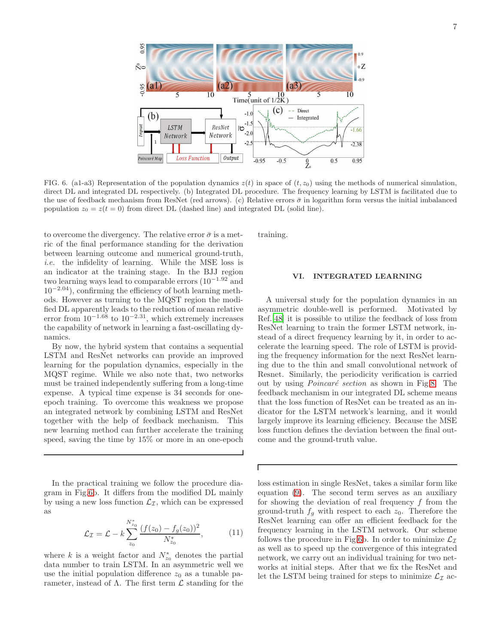

<span id="page-6-0"></span>FIG. 6. (a1-a3) Representation of the population dynamics  $z(t)$  in space of  $(t, z_0)$  using the methods of numerical simulation, direct DL and integrated DL respectively. (b) Integrated DL procedure. The frequency learning by LSTM is facilitated due to the use of feedback mechanism from ResNet (red arrows). (c) Relative errors  $\bar{\sigma}$  in logarithm form versus the initial imbalanced population  $z_0 = z(t = 0)$  from direct DL (dashed line) and integrated DL (solid line).

to overcome the divergency. The relative error  $\bar{\sigma}$  is a metric of the final performance standing for the derivation between learning outcome and numerical ground-truth, i.e. the infidelity of learning. While the MSE loss is an indicator at the training stage. In the BJJ region two learning ways lead to comparable errors (10<sup>−</sup>1.<sup>92</sup> and  $10^{-2.04}$ ), confirming the efficiency of both learning methods. However as turning to the MQST region the modified DL apparently leads to the reduction of mean relative error from  $10^{-1.68}$  to  $10^{-2.31}$ , which extremely increases the capability of network in learning a fast-oscillating dynamics.

By now, the hybrid system that contains a sequential LSTM and ResNet networks can provide an improved learning for the population dynamics, especially in the MQST regime. While we also note that, two networks must be trained independently suffering from a long-time expense. A typical time expense is 34 seconds for oneepoch training. To overcome this weakness we propose an integrated network by combining LSTM and ResNet together with the help of feedback mechanism. This new learning method can further accelerate the training speed, saving the time by 15% or more in an one-epoch

In the practical training we follow the procedure diagram in Fig[.6b](#page-6-0). It differs from the modified DL mainly by using a new loss function  $\mathcal{L}_{\mathcal{I}}$ , which can be expressed as

$$
\mathcal{L}_{\mathcal{I}} = \mathcal{L} - k \sum_{z_0}^{N_{z_0}^*} \frac{(f(z_0) - f_g(z_0))^2}{N_{z_0}^*},
$$
 (11)

where k is a weight factor and  $N_{z_0}^*$  denotes the partial data number to train LSTM. In an asymmetric well we use the initial population difference  $z_0$  as a tunable parameter, instead of  $\Lambda$ . The first term  $\mathcal L$  standing for the training.

# VI. INTEGRATED LEARNING

A universal study for the population dynamics in an asymmetric double-well is performed. Motivated by Ref.[\[48](#page-10-8)] it is possible to utilize the feedback of loss from ResNet learning to train the former LSTM network, instead of a direct frequency learning by it, in order to accelerate the learning speed. The role of LSTM is providing the frequency information for the next ResNet learning due to the thin and small convolutional network of Resnet. Similarly, the periodicity verification is carried out by using *Poincaré section* as shown in Fig[.8.](#page-8-1) The feedback mechanism in our integrated DL scheme means that the loss function of ResNet can be treated as an indicator for the LSTM network's learning, and it would largely improve its learning efficiency. Because the MSE loss function defines the deviation between the final outcome and the ground-truth value.

loss estimation in single ResNet, takes a similar form like equation [\(9\)](#page-3-2). The second term serves as an auxiliary for showing the deviation of real frequency  $f$  from the ground-truth  $f<sub>g</sub>$  with respect to each  $z<sub>0</sub>$ . Therefore the ResNet learning can offer an efficient feedback for the frequency learning in the LSTM network. Our scheme follows the procedure in Fig[.6b](#page-6-0). In order to minimize  $\mathcal{L}_{\mathcal{I}}$ as well as to speed up the convergence of this integrated network, we carry out an individual training for two networks at initial steps. After that we fix the ResNet and let the LSTM being trained for steps to minimize  $\mathcal{L}_{\mathcal{I}}$  ac-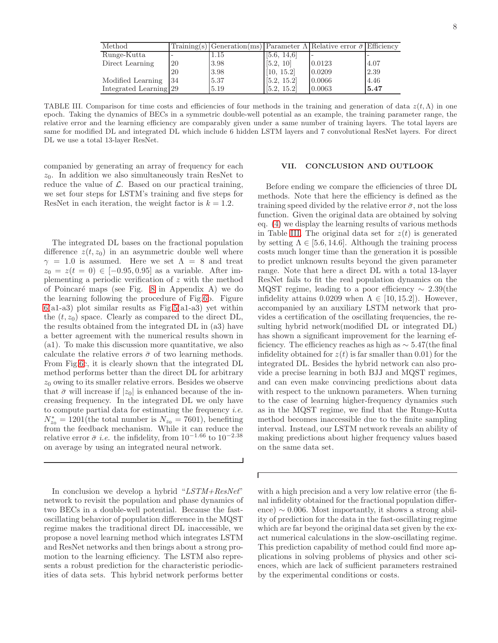| Method                 |               |      |             | Training(s) Generation(ms) Parameter $\Lambda$ Relative error $\bar{\sigma}$ Efficiency |      |
|------------------------|---------------|------|-------------|-----------------------------------------------------------------------------------------|------|
| Runge-Kutta            |               | 1.15 | [5.6, 14.6] |                                                                                         |      |
| Direct Learning        | <sup>20</sup> | 3.98 | [5.2, 10]   | 0.0123                                                                                  | 4.07 |
|                        | 20            | 3.98 | [10, 15.2]  | 0.0209                                                                                  | 2.39 |
| Modified Learning      | -34           | 5.37 | [5.2, 15.2] | 0.0066                                                                                  | 4.46 |
| Integrated Learning 29 |               | 5.19 | [5.2, 15.2] | 0.0063                                                                                  | 5.47 |

<span id="page-7-0"></span>TABLE III. Comparison for time costs and efficiencies of four methods in the training and generation of data  $z(t, \Lambda)$  in one epoch. Taking the dynamics of BECs in a symmetric double-well potential as an example, the training parameter range, the relative error and the learning efficiency are comparably given under a same number of training layers. The total layers are same for modified DL and integrated DL which include 6 hidden LSTM layers and 7 convolutional ResNet layers. For direct DL we use a total 13-layer ResNet.

 $\Gamma$ 

companied by generating an array of frequency for each  $z_0$ . In addition we also simultaneously train ResNet to reduce the value of  $\mathcal{L}$ . Based on our practical training, we set four steps for LSTM's training and five steps for ResNet in each iteration, the weight factor is  $k = 1.2$ .

The integrated DL bases on the fractional population difference  $z(t, z_0)$  in an asymmetric double well where  $\gamma = 1.0$  is assumed. Here we set  $\Lambda = 8$  and treat  $z_0 = z(t = 0) \in [-0.95, 0.95]$  as a variable. After implementing a periodic verification of  $z$  with the method of Poincaré maps (see Fig.  $8$  in Appendix A) we do the learning following the procedure of Fig[.6b](#page-6-0). Figure  $6(a1-a3)$  $6(a1-a3)$  plot similar results as Fig[.5\(](#page-5-0)a1-a3) yet within the  $(t, z_0)$  space. Clearly as compared to the direct DL, the results obtained from the integrated DL in (a3) have a better agreement with the numerical results shown in (a1). To make this discussion more quantitative, we also calculate the relative errors  $\bar{\sigma}$  of two learning methods. From Fig[.6c](#page-6-0), it is clearly shown that the integrated DL method performs better than the direct DL for arbitrary  $z_0$  owing to its smaller relative errors. Besides we observe that  $\bar{\sigma}$  will increase if  $|z_0|$  is enhanced because of the increasing frequency. In the integrated DL we only have to compute partial data for estimating the frequency  $i.e.$  $N_{z_0}^* = 1201$ (the total number is  $N_{z_0} = 7601$ ), benefiting from the feedback mechanism. While it can reduce the relative error  $\bar{\sigma}$  *i.e.* the infidelity, from  $10^{-1.66}$  to  $10^{-2.38}$ on average by using an integrated neural network.

In conclusion we develop a hybrid "LSTM+ResNet" network to revisit the population and phase dynamics of two BECs in a double-well potential. Because the fastoscillating behavior of population difference in the MQST regime makes the traditional direct DL inaccessible, we propose a novel learning method which integrates LSTM and ResNet networks and then brings about a strong promotion to the learning efficiency. The LSTM also represents a robust prediction for the characteristic periodicities of data sets. This hybrid network performs better

# VII. CONCLUSION AND OUTLOOK

Before ending we compare the efficiencies of three DL methods. Note that here the efficiency is defined as the training speed divided by the relative error  $\bar{\sigma}$ , not the loss function. Given the original data are obtained by solving eq. [\(4\)](#page-2-1) we display the learning results of various methods in Table [III.](#page-7-0) The original data set for  $z(t)$  is generated by setting  $\Lambda \in [5.6, 14.6]$ . Although the training process costs much longer time than the generation it is possible to predict unknown results beyond the given parameter range. Note that here a direct DL with a total 13-layer ResNet fails to fit the real population dynamics on the MQST regime, leading to a poor efficiency ∼ 2.39(the infidelity attains 0.0209 when  $\Lambda \in [10, 15.2]$ . However, accompanied by an auxiliary LSTM network that provides a certification of the oscillating frequencies, the resulting hybrid network(modified DL or integrated DL) has shown a significant improvement for the learning efficiency. The efficiency reaches as high as  $\sim$  5.47(the final infidelity obtained for  $z(t)$  is far smaller than 0.01) for the integrated DL. Besides the hybrid network can also provide a precise learning in both BJJ and MQST regimes, and can even make convincing predictions about data with respect to the unknown parameters. When turning to the case of learning higher-frequency dynamics such as in the MQST regime, we find that the Runge-Kutta method becomes inaccessible due to the finite sampling interval. Instead, our LSTM network reveals an ability of making predictions about higher frequency values based on the same data set.

with a high precision and a very low relative error (the final infidelity obtained for the fractional population difference)  $\sim 0.006$ . Most importantly, it shows a strong ability of prediction for the data in the fast-oscillating regime which are far beyond the original data set given by the exact numerical calculations in the slow-oscillating regime. This prediction capability of method could find more applications in solving problems of physics and other sciences, which are lack of sufficient parameters restrained by the experimental conditions or costs.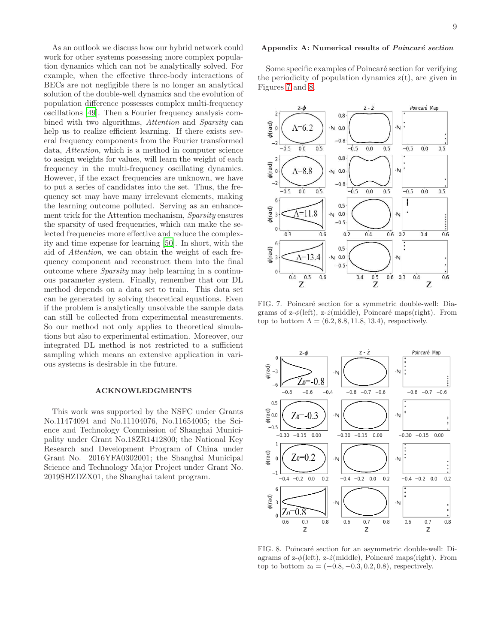As an outlook we discuss how our hybrid network could work for other systems possessing more complex population dynamics which can not be analytically solved. For example, when the effective three-body interactions of BECs are not negligible there is no longer an analytical solution of the double-well dynamics and the evolution of population difference possesses complex multi-frequency oscillations [\[49\]](#page-10-9). Then a Fourier frequency analysis combined with two algorithms, *Attention* and *Sparsity* can help us to realize efficient learning. If there exists several frequency components from the Fourier transformed data, Attention, which is a method in computer science to assign weights for values, will learn the weight of each frequency in the multi-frequency oscillating dynamics. However, if the exact frequencies are unknown, we have to put a series of candidates into the set. Thus, the frequency set may have many irrelevant elements, making the learning outcome polluted. Serving as an enhancement trick for the Attention mechanism, Sparsity ensures the sparsity of used frequencies, which can make the selected frequencies more effective and reduce the complexity and time expense for learning [\[50\]](#page-10-10). In short, with the aid of Attention, we can obtain the weight of each frequency component and reconstruct them into the final outcome where Sparsity may help learning in a continuous parameter system. Finally, remember that our DL method depends on a data set to train. This data set can be generated by solving theoretical equations. Even if the problem is analytically unsolvable the sample data can still be collected from experimental measurements. So our method not only applies to theoretical simulations but also to experimental estimation. Moreover, our integrated DL method is not restricted to a sufficient sampling which means an extensive application in various systems is desirable in the future.

# ACKNOWLEDGMENTS

This work was supported by the NSFC under Grants No.11474094 and No.11104076, No.11654005; the Science and Technology Commission of Shanghai Municipality under Grant No.18ZR1412800; the National Key Research and Development Program of China under Grant No. 2016YFA0302001; the Shanghai Municipal Science and Technology Major Project under Grant No. 2019SHZDZX01, the Shanghai talent program.

# Appendix A: Numerical results of Poincaré section

Some specific examples of Poincaré section for verifying the periodicity of population dynamics  $z(t)$ , are given in Figures [7](#page-8-0) and [8.](#page-8-1)



<span id="page-8-0"></span>FIG. 7. Poincaré section for a symmetric double-well: Diagrams of z- $\phi$ (left), z- $\dot{z}$ (middle), Poincaré maps(right). From top to bottom  $\Lambda = (6.2, 8.8, 11.8, 13.4)$ , respectively.



<span id="page-8-1"></span>FIG. 8. Poincaré section for an asymmetric double-well: Diagrams of  $z-\phi(\text{left})$ ,  $z-\dot{z}(\text{middle})$ , Poincaré maps(right). From top to bottom  $z_0 = (-0.8, -0.3, 0.2, 0.8)$ , respectively.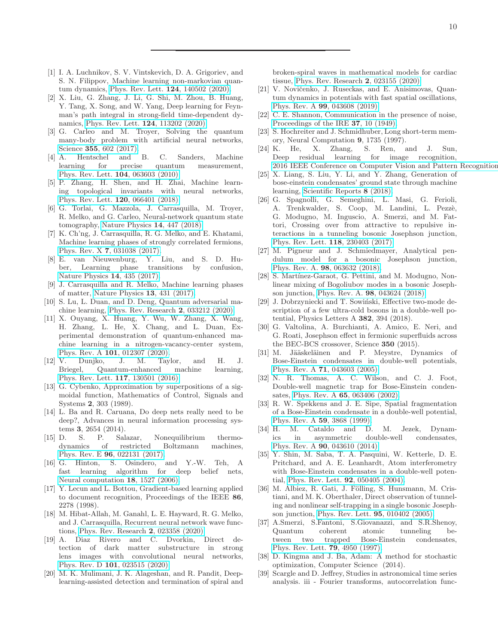- <span id="page-9-0"></span>[1] I. A. Luchnikov, S. V. Vintskevich, D. A. Grigoriev, and S. N. Filippov, Machine learning non-markovian quantum dynamics, [Phys. Rev. Lett.](https://doi.org/10.1103/PhysRevLett.124.140502) 124, 140502 (2020).
- <span id="page-9-1"></span>[2] X. Liu, G. Zhang, J. Li, G. Shi, M. Zhou, B. Huang, Y. Tang, X. Song, and W. Yang, Deep learning for Feynman's path integral in strong-field time-dependent dynamics, [Phys. Rev. Lett.](https://doi.org/10.1103/PhysRevLett.124.113202) 124, 113202 (2020).
- <span id="page-9-2"></span>[3] G. Carleo and M. Troyer, Solving the quantum many-body problem with artificial neural networks, Science 355[, 602 \(2017\).](https://doi.org/10.1126/science.aag2302)
- <span id="page-9-3"></span>[4] A. Hentschel and B. C. Sanders, Machine learning for precise quantum measurement, [Phys. Rev. Lett.](https://doi.org/10.1103/PhysRevLett.104.063603) 104, 063603 (2010).
- <span id="page-9-4"></span>[5] P. Zhang, H. Shen, and H. Zhai, Machine learning topological invariants with neural networks, [Phys. Rev. Lett.](https://doi.org/10.1103/PhysRevLett.120.066401) 120, 066401 (2018).
- [6] G. Torlai, G. Mazzola, J. Carrasquilla, M. Troyer, R. Melko, and G. Carleo, Neural-network quantum state tomography, [Nature Physics](https://doi.org/10.1038/s41567-018-0048-5) 14, 447 (2018).
- [7] K. Ch'ng, J. Carrasquilla, R. G. Melko, and E. Khatami, Machine learning phases of strongly correlated fermions, Phys. Rev. X 7[, 031038 \(2017\).](https://doi.org/10.1103/PhysRevX.7.031038)
- [8] E. van Nieuwenburg, Y. Liu, and S. D. Huber, Learning phase transitions by confusion, [Nature Physics](https://doi.org/10.1038/nphys4037) 14, 435 (2017).
- <span id="page-9-5"></span>[9] J. Carrasquilla and R. Melko, Machine learning phases of matter, [Nature Physics](https://doi.org/10.1038/nphys4035) 13, 431 (2017).
- <span id="page-9-6"></span>[10] S. Lu, L. Duan, and D. Deng, Quantum adversarial machine learning, [Phys. Rev. Research](https://doi.org/10.1103/PhysRevResearch.2.033212) 2, 033212 (2020).
- [11] X. Ouyang, X. Huang, Y. Wu, W. Zhang, X. Wang, H. Zhang, L. He, X. Chang, and L. Duan, Experimental demonstration of quantum-enhanced machine learning in a nitrogen-vacancy-center system, Phys. Rev. A 101[, 012307 \(2020\).](https://doi.org/10.1103/PhysRevA.101.012307)
- <span id="page-9-7"></span>[12] V. Dunjko, J. M. Taylor, and H. J. Briegel, Quantum-enhanced machine learning, [Phys. Rev. Lett.](https://doi.org/10.1103/PhysRevLett.117.130501) 117, 130501 (2016).
- <span id="page-9-8"></span>[13] G. Cybenko, Approximation by superpositions of a sigmoidal function, Mathematics of Control, Signals and Systems 2, 303 (1989).
- <span id="page-9-9"></span>[14] L. Ba and R. Caruana, Do deep nets really need to be deep?, Advances in neural information processing systems 3, 2654 (2014).
- <span id="page-9-10"></span>[15] D. S. P. Salazar, Nonequilibrium thermodynamics of restricted Boltzmann machines, Phys. Rev. E 96[, 022131 \(2017\).](https://doi.org/10.1103/PhysRevE.96.022131)
- <span id="page-9-11"></span>[16] G. Hinton, S. Osindero, and Y.-W. Teh, A fast learning algorithm for deep belief nets, [Neural computation](https://doi.org/10.1162/neco.2006.18.7.1527) 18, 1527 (2006).
- <span id="page-9-12"></span>[17] Y. Lecun and L. Bottou, Gradient-based learning applied to document recognition, Proceedings of the IEEE 86, 2278 (1998).
- <span id="page-9-13"></span>[18] M. Hibat-Allah, M. Ganahl, L. E. Hayward, R. G. Melko, and J. Carrasquilla, Recurrent neural network wave functions, [Phys. Rev. Research](https://doi.org/10.1103/PhysRevResearch.2.023358) 2, 023358 (2020).
- <span id="page-9-14"></span>[19] A. Diaz Rivero and C. Dvorkin, Direct detection of dark matter substructure in strong lens images with convolutional neural networks, Phys. Rev. D 101[, 023515 \(2020\).](https://doi.org/10.1103/PhysRevD.101.023515)
- <span id="page-9-15"></span>[20] M. K. Mulimani, J. K. Alageshan, and R. Pandit, Deeplearning-assisted detection and termination of spiral and

broken-spiral waves in mathematical models for cardiac tissue, [Phys. Rev. Research](https://doi.org/10.1103/PhysRevResearch.2.023155) 2, 023155 (2020).

- <span id="page-9-16"></span>[21] V. Novičenko, J. Ruseckas, and E. Anisimovas, Quantum dynamics in potentials with fast spatial oscillations, Phys. Rev. A 99[, 043608 \(2019\).](https://doi.org/10.1103/PhysRevA.99.043608)
- <span id="page-9-17"></span>[22] C. E. Shannon, Communication in the presence of noise, [Proceedings of the IRE](https://doi.org/10.1109/JRPROC.1949.232969) 37, 10 (1949).
- <span id="page-9-18"></span>[23] S. Hochreiter and J. Schmidhuber, Long short-term memory, Neural Computation 9, 1735 (1997).<br>K. He. X. Zhang, S. Ren, a
- <span id="page-9-19"></span>[24] K. He, X. Zhang, S. Ren, and J. Sun, Deep residual learning for image recognition,  $2016$  IEEE Conference on Computer Vision and Pattern Recognition
- <span id="page-9-20"></span>[25] X. Liang, S. Liu, Y. Li, and Y. Zhang, Generation of bose-einstein condensates' ground state through machine learning, [Scientific Reports](https://doi.org/10.1038/s41598-018-34725-9) 8 (2018).
- <span id="page-9-21"></span>[26] G. Spagnolli, G. Semeghini, L. Masi, G. Ferioli, A. Trenkwalder, S. Coop, M. Landini, L. Pezzè, G. Modugno, M. Inguscio, A. Smerzi, and M. Fattori, Crossing over from attractive to repulsive interactions in a tunneling bosonic Josephson junction, [Phys. Rev. Lett.](https://doi.org/10.1103/PhysRevLett.118.230403) 118, 230403 (2017).
- [27] M. Pigneur and J. Schmiedmayer, Analytical pendulum model for a bosonic Josephson junction, Phys. Rev. A. 98[, 063632 \(2018\).](https://doi.org/10.1103/PhysRevA.98.063632)
- [28] S. Martínez-Garaot, G. Pettini, and M. Modugno, Nonlinear mixing of Bogoliubov modes in a bosonic Josephson junction, Phys. Rev. A. 98[, 043624 \(2018\).](https://doi.org/10.1103/PhysRevA.98.043624)
- [29] J. Dobrzyniecki and T. Sowiński, Effective two-mode description of a few ultra-cold bosons in a double-well potential, Physics Letters A 382, 394 (2018).
- <span id="page-9-22"></span>[30] G. Valtolina, A. Burchianti, A. Amico, E. Neri, and G. Roati, Josephson effect in fermionic superfluids across the BEC-BCS crossover, Science 350 (2015).
- <span id="page-9-23"></span>[31] M. Jääskeläinen and P. Meystre, Dynamics of Bose-Einstein condensates in double-well potentials, Phys. Rev. A 71[, 043603 \(2005\).](https://doi.org/10.1103/PhysRevA.71.043603)
- [32] N. R. Thomas, A. C. Wilson, and C. J. Foot, Double-well magnetic trap for Bose-Einstein condensates, Phys. Rev. A 65[, 063406 \(2002\).](https://doi.org/10.1103/PhysRevA.65.063406)
- [33] R. W. Spekkens and J. E. Sipe, Spatial fragmentation of a Bose-Einstein condensate in a double-well potential, [Phys. Rev. A](https://doi.org/10.1103/PhysRevA.59.3868) 59, 3868 (1999).
- [34] H. M. Cataldo and D. M. Jezek, Dynamics in asymmetric double-well condensates, Phys. Rev. A 90[, 043610 \(2014\).](https://doi.org/10.1103/PhysRevA.90.043610)
- <span id="page-9-24"></span>[35] Y. Shin, M. Saba, T. A. Pasquini, W. Ketterle, D. E. Pritchard, and A. E. Leanhardt, Atom interferometry with Bose-Einstein condensates in a double-well potential, [Phys. Rev. Lett.](https://doi.org/10.1103/PhysRevLett.92.050405) 92, 050405 (2004).
- <span id="page-9-25"></span>[36] M. Albiez, R. Gati, J. Fölling, S. Hunsmann, M. Cristiani, and M. K. Oberthaler, Direct observation of tunneling and nonlinear self-trapping in a single bosonic Josephson junction, [Phys. Rev. Lett.](https://doi.org/10.1103/PhysRevLett.95.010402) 95, 010402 (2005).
- <span id="page-9-26"></span>[37] A.Smerzi, S.Fantoni, S.Giovanazzi, and S.R.Shenoy, Quantum coherent atomic tunneling between two trapped Bose-Einstein condensates, [Phys. Rev. Lett.](https://doi.org/10.1103/PhysRevLett.79.4950) 79, 4950 (1997).
- <span id="page-9-27"></span>[38] D. Kingma and J. Ba, Adam: A method for stochastic optimization, Computer Science (2014).
- <span id="page-9-28"></span>[39] Scargle and D. Jeffrey, Studies in astronomical time series analysis. iii - Fourier transforms, autocorrelation func-